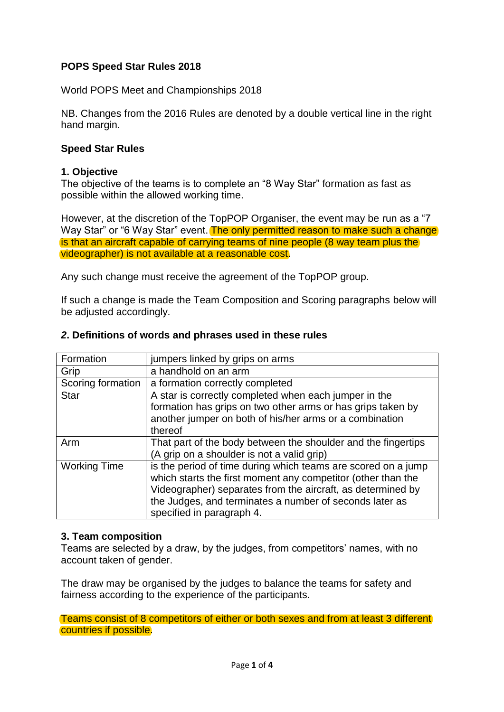# **POPS Speed Star Rules 2018**

World POPS Meet and Championships 2018

NB. Changes from the 2016 Rules are denoted by a double vertical line in the right hand margin.

### **Speed Star Rules**

#### **1. Objective**

The objective of the teams is to complete an "8 Way Star" formation as fast as possible within the allowed working time.

However, at the discretion of the TopPOP Organiser, the event may be run as a "7 Way Star" or "6 Way Star" event. The only permitted reason to make such a change is that an aircraft capable of carrying teams of nine people (8 way team plus the videographer) is not available at a reasonable cost.

Any such change must receive the agreement of the TopPOP group.

If such a change is made the Team Composition and Scoring paragraphs below will be adjusted accordingly.

| Formation           | jumpers linked by grips on arms                                                                                                                                                                                                                                                      |
|---------------------|--------------------------------------------------------------------------------------------------------------------------------------------------------------------------------------------------------------------------------------------------------------------------------------|
| Grip                | a handhold on an arm                                                                                                                                                                                                                                                                 |
| Scoring formation   | a formation correctly completed                                                                                                                                                                                                                                                      |
| <b>Star</b>         | A star is correctly completed when each jumper in the                                                                                                                                                                                                                                |
|                     | formation has grips on two other arms or has grips taken by                                                                                                                                                                                                                          |
|                     | another jumper on both of his/her arms or a combination                                                                                                                                                                                                                              |
|                     | thereof                                                                                                                                                                                                                                                                              |
| Arm                 | That part of the body between the shoulder and the fingertips                                                                                                                                                                                                                        |
|                     | (A grip on a shoulder is not a valid grip)                                                                                                                                                                                                                                           |
| <b>Working Time</b> | is the period of time during which teams are scored on a jump<br>which starts the first moment any competitor (other than the<br>Videographer) separates from the aircraft, as determined by<br>the Judges, and terminates a number of seconds later as<br>specified in paragraph 4. |

### *2***. Definitions of words and phrases used in these rules**

# **3. Team composition**

Teams are selected by a draw, by the judges, from competitors' names, with no account taken of gender.

The draw may be organised by the judges to balance the teams for safety and fairness according to the experience of the participants.

Teams consist of 8 competitors of either or both sexes and from at least 3 different countries if possible.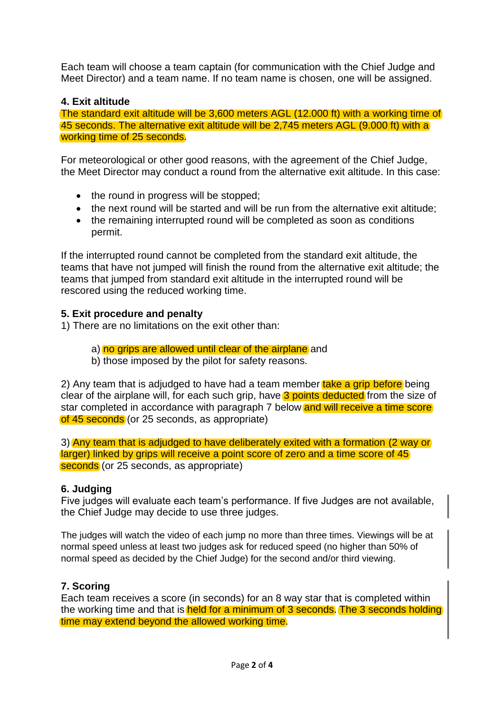Each team will choose a team captain (for communication with the Chief Judge and Meet Director) and a team name. If no team name is chosen, one will be assigned.

# **4. Exit altitude**

The standard exit altitude will be 3,600 meters AGL (12.000 ft) with a working time of 45 seconds. The alternative exit altitude will be 2,745 meters AGL (9.000 ft) with a working time of 25 seconds.

For meteorological or other good reasons, with the agreement of the Chief Judge, the Meet Director may conduct a round from the alternative exit altitude. In this case:

- the round in progress will be stopped;
- the next round will be started and will be run from the alternative exit altitude;
- the remaining interrupted round will be completed as soon as conditions permit.

If the interrupted round cannot be completed from the standard exit altitude, the teams that have not jumped will finish the round from the alternative exit altitude; the teams that jumped from standard exit altitude in the interrupted round will be rescored using the reduced working time.

### **5. Exit procedure and penalty**

1) There are no limitations on the exit other than:

a) no grips are allowed until clear of the airplane and

b) those imposed by the pilot for safety reasons.

2) Any team that is adjudged to have had a team member take a grip before being clear of the airplane will, for each such grip, have 3 points deducted from the size of star completed in accordance with paragraph 7 below and will receive a time score of 45 seconds (or 25 seconds, as appropriate)

3) Any team that is adjudged to have deliberately exited with a formation (2 way or larger) linked by grips will receive a point score of zero and a time score of 45 seconds (or 25 seconds, as appropriate)

# **6. Judging**

Five judges will evaluate each team's performance. If five Judges are not available, the Chief Judge may decide to use three judges.

The judges will watch the video of each jump no more than three times. Viewings will be at normal speed unless at least two judges ask for reduced speed (no higher than 50% of normal speed as decided by the Chief Judge) for the second and/or third viewing.

# **7. Scoring**

Each team receives a score (in seconds) for an 8 way star that is completed within the working time and that is held for a minimum of 3 seconds. The 3 seconds holding time may extend beyond the allowed working time.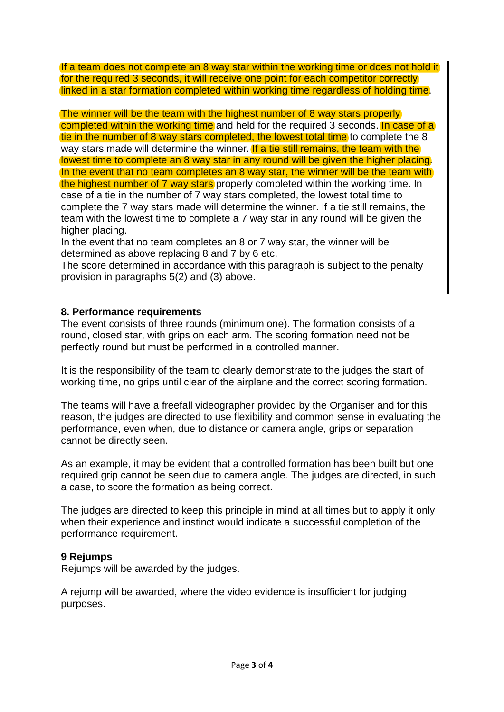If a team does not complete an 8 way star within the working time or does not hold it for the required 3 seconds, it will receive one point for each competitor correctly linked in a star formation completed within working time regardless of holding time.

The winner will be the team with the highest number of 8 way stars properly completed within the working time and held for the required 3 seconds. In case of a tie in the number of 8 way stars completed, the lowest total time to complete the 8 way stars made will determine the winner. If a tie still remains, the team with the lowest time to complete an 8 way star in any round will be given the higher placing. In the event that no team completes an 8 way star, the winner will be the team with the highest number of 7 way stars properly completed within the working time. In case of a tie in the number of 7 way stars completed, the lowest total time to complete the 7 way stars made will determine the winner. If a tie still remains, the team with the lowest time to complete a 7 way star in any round will be given the higher placing.

In the event that no team completes an 8 or 7 way star, the winner will be determined as above replacing 8 and 7 by 6 etc.

The score determined in accordance with this paragraph is subject to the penalty provision in paragraphs 5(2) and (3) above.

### **8. Performance requirements**

The event consists of three rounds (minimum one). The formation consists of a round, closed star, with grips on each arm. The scoring formation need not be perfectly round but must be performed in a controlled manner.

It is the responsibility of the team to clearly demonstrate to the judges the start of working time, no grips until clear of the airplane and the correct scoring formation.

The teams will have a freefall videographer provided by the Organiser and for this reason, the judges are directed to use flexibility and common sense in evaluating the performance, even when, due to distance or camera angle, grips or separation cannot be directly seen.

As an example, it may be evident that a controlled formation has been built but one required grip cannot be seen due to camera angle. The judges are directed, in such a case, to score the formation as being correct.

The judges are directed to keep this principle in mind at all times but to apply it only when their experience and instinct would indicate a successful completion of the performance requirement.

#### **9 Rejumps**

Rejumps will be awarded by the judges.

A rejump will be awarded, where the video evidence is insufficient for judging purposes.